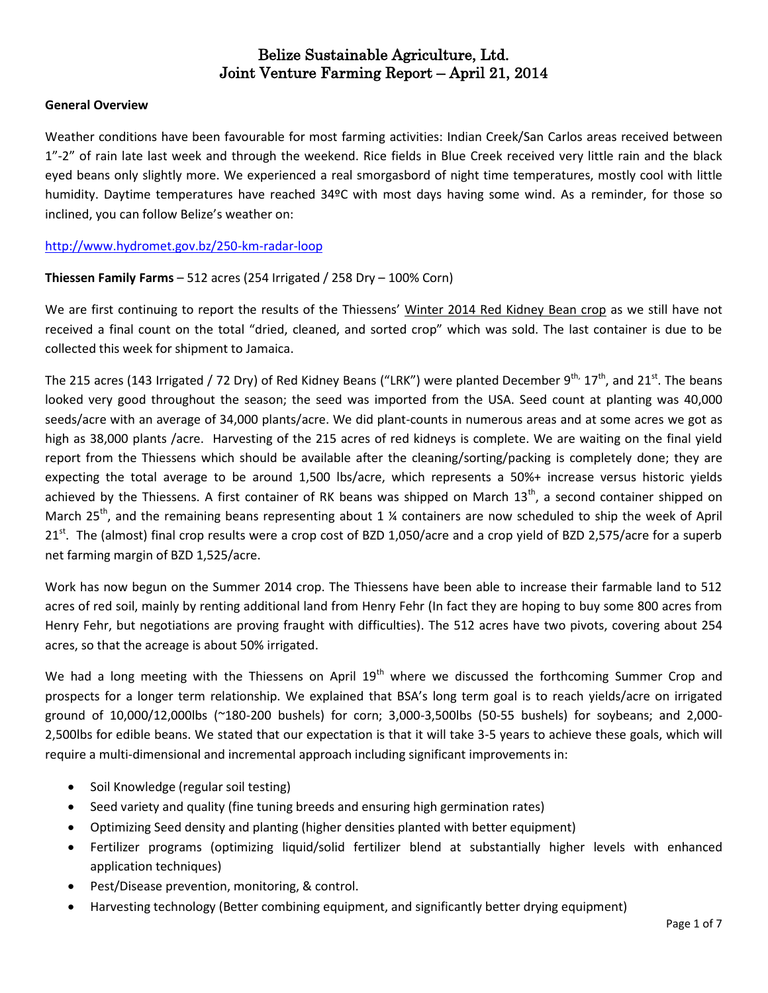#### **General Overview**

Weather conditions have been favourable for most farming activities: Indian Creek/San Carlos areas received between 1"-2" of rain late last week and through the weekend. Rice fields in Blue Creek received very little rain and the black eyed beans only slightly more. We experienced a real smorgasbord of night time temperatures, mostly cool with little humidity. Daytime temperatures have reached 34ºC with most days having some wind. As a reminder, for those so inclined, you can follow Belize's weather on:

<http://www.hydromet.gov.bz/250-km-radar-loop>

## **Thiessen Family Farms** – 512 acres (254 Irrigated / 258 Dry – 100% Corn)

We are first continuing to report the results of the Thiessens' Winter 2014 Red Kidney Bean crop as we still have not received a final count on the total "dried, cleaned, and sorted crop" which was sold. The last container is due to be collected this week for shipment to Jamaica.

The 215 acres (143 Irrigated / 72 Dry) of Red Kidney Beans ("LRK") were planted December 9<sup>th,</sup> 17<sup>th</sup>, and 21<sup>st</sup>. The beans looked very good throughout the season; the seed was imported from the USA. Seed count at planting was 40,000 seeds/acre with an average of 34,000 plants/acre. We did plant-counts in numerous areas and at some acres we got as high as 38,000 plants /acre. Harvesting of the 215 acres of red kidneys is complete. We are waiting on the final yield report from the Thiessens which should be available after the cleaning/sorting/packing is completely done; they are expecting the total average to be around 1,500 lbs/acre, which represents a 50%+ increase versus historic yields achieved by the Thiessens. A first container of RK beans was shipped on March 13<sup>th</sup>, a second container shipped on March 25<sup>th</sup>, and the remaining beans representing about 1  $\frac{1}{2}$  containers are now scheduled to ship the week of April 21<sup>st</sup>. The (almost) final crop results were a crop cost of BZD 1,050/acre and a crop yield of BZD 2,575/acre for a superb net farming margin of BZD 1,525/acre.

Work has now begun on the Summer 2014 crop. The Thiessens have been able to increase their farmable land to 512 acres of red soil, mainly by renting additional land from Henry Fehr (In fact they are hoping to buy some 800 acres from Henry Fehr, but negotiations are proving fraught with difficulties). The 512 acres have two pivots, covering about 254 acres, so that the acreage is about 50% irrigated.

We had a long meeting with the Thiessens on April  $19<sup>th</sup>$  where we discussed the forthcoming Summer Crop and prospects for a longer term relationship. We explained that BSA's long term goal is to reach yields/acre on irrigated ground of 10,000/12,000lbs (~180-200 bushels) for corn; 3,000-3,500lbs (50-55 bushels) for soybeans; and 2,000- 2,500lbs for edible beans. We stated that our expectation is that it will take 3-5 years to achieve these goals, which will require a multi-dimensional and incremental approach including significant improvements in:

- Soil Knowledge (regular soil testing)
- Seed variety and quality (fine tuning breeds and ensuring high germination rates)
- Optimizing Seed density and planting (higher densities planted with better equipment)
- Fertilizer programs (optimizing liquid/solid fertilizer blend at substantially higher levels with enhanced application techniques)
- Pest/Disease prevention, monitoring, & control.
- Harvesting technology (Better combining equipment, and significantly better drying equipment)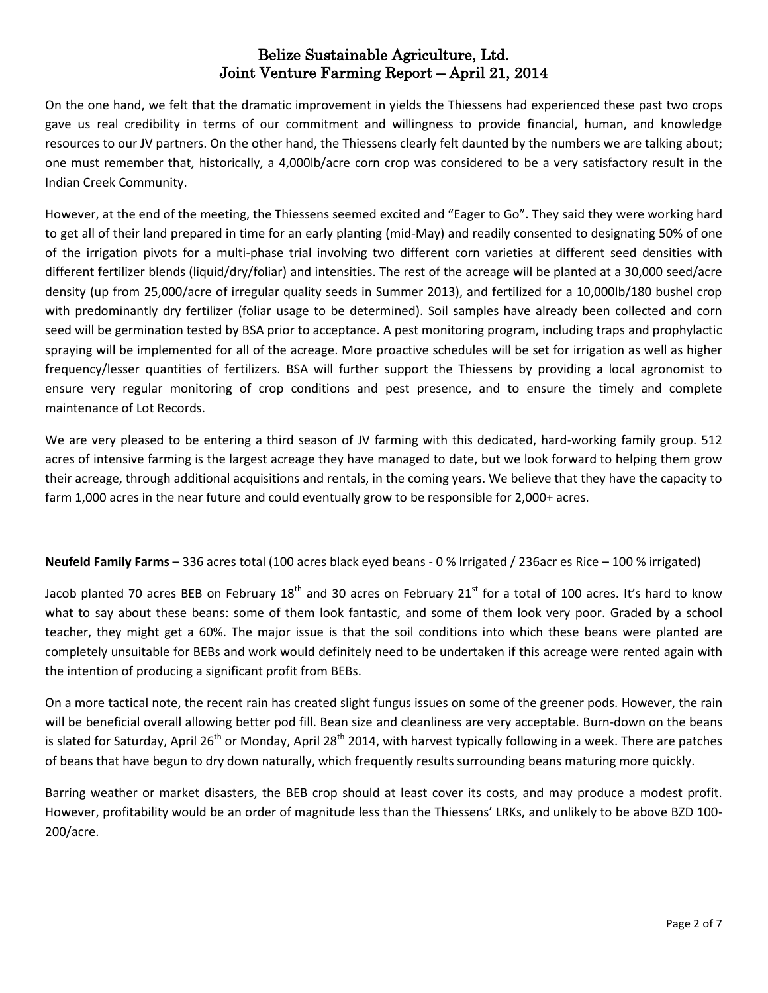On the one hand, we felt that the dramatic improvement in yields the Thiessens had experienced these past two crops gave us real credibility in terms of our commitment and willingness to provide financial, human, and knowledge resources to our JV partners. On the other hand, the Thiessens clearly felt daunted by the numbers we are talking about; one must remember that, historically, a 4,000lb/acre corn crop was considered to be a very satisfactory result in the Indian Creek Community.

However, at the end of the meeting, the Thiessens seemed excited and "Eager to Go". They said they were working hard to get all of their land prepared in time for an early planting (mid-May) and readily consented to designating 50% of one of the irrigation pivots for a multi-phase trial involving two different corn varieties at different seed densities with different fertilizer blends (liquid/dry/foliar) and intensities. The rest of the acreage will be planted at a 30,000 seed/acre density (up from 25,000/acre of irregular quality seeds in Summer 2013), and fertilized for a 10,000lb/180 bushel crop with predominantly dry fertilizer (foliar usage to be determined). Soil samples have already been collected and corn seed will be germination tested by BSA prior to acceptance. A pest monitoring program, including traps and prophylactic spraying will be implemented for all of the acreage. More proactive schedules will be set for irrigation as well as higher frequency/lesser quantities of fertilizers. BSA will further support the Thiessens by providing a local agronomist to ensure very regular monitoring of crop conditions and pest presence, and to ensure the timely and complete maintenance of Lot Records.

We are very pleased to be entering a third season of JV farming with this dedicated, hard-working family group. 512 acres of intensive farming is the largest acreage they have managed to date, but we look forward to helping them grow their acreage, through additional acquisitions and rentals, in the coming years. We believe that they have the capacity to farm 1,000 acres in the near future and could eventually grow to be responsible for 2,000+ acres.

**Neufeld Family Farms** – 336 acres total (100 acres black eyed beans - 0 % Irrigated / 236acr es Rice – 100 % irrigated)

Jacob planted 70 acres BEB on February  $18<sup>th</sup>$  and 30 acres on February 21 $<sup>st</sup>$  for a total of 100 acres. It's hard to know</sup> what to say about these beans: some of them look fantastic, and some of them look very poor. Graded by a school teacher, they might get a 60%. The major issue is that the soil conditions into which these beans were planted are completely unsuitable for BEBs and work would definitely need to be undertaken if this acreage were rented again with the intention of producing a significant profit from BEBs.

On a more tactical note, the recent rain has created slight fungus issues on some of the greener pods. However, the rain will be beneficial overall allowing better pod fill. Bean size and cleanliness are very acceptable. Burn-down on the beans is slated for Saturday, April 26<sup>th</sup> or Monday, April 28<sup>th</sup> 2014, with harvest typically following in a week. There are patches of beans that have begun to dry down naturally, which frequently results surrounding beans maturing more quickly.

Barring weather or market disasters, the BEB crop should at least cover its costs, and may produce a modest profit. However, profitability would be an order of magnitude less than the Thiessens' LRKs, and unlikely to be above BZD 100- 200/acre.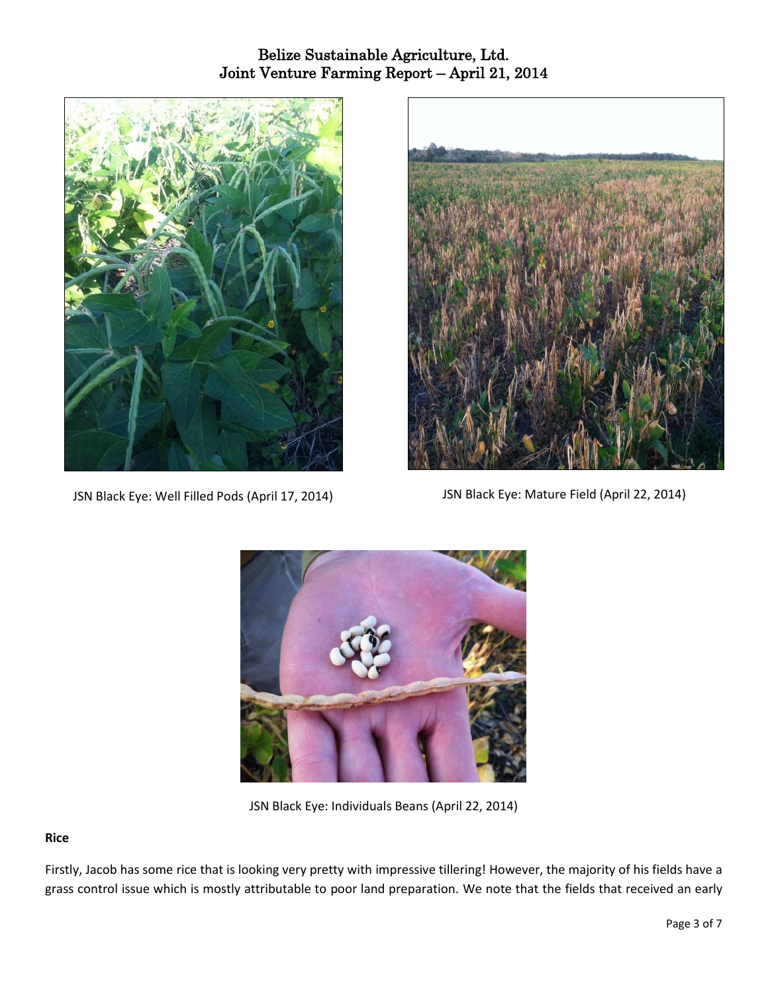



JSN Black Eye: Well Filled Pods (April 17, 2014) JSN Black Eye: Mature Field (April 22, 2014)



JSN Black Eye: Individuals Beans (April 22, 2014)

#### **Rice**

Firstly, Jacob has some rice that is looking very pretty with impressive tillering! However, the majority of his fields have a grass control issue which is mostly attributable to poor land preparation. We note that the fields that received an early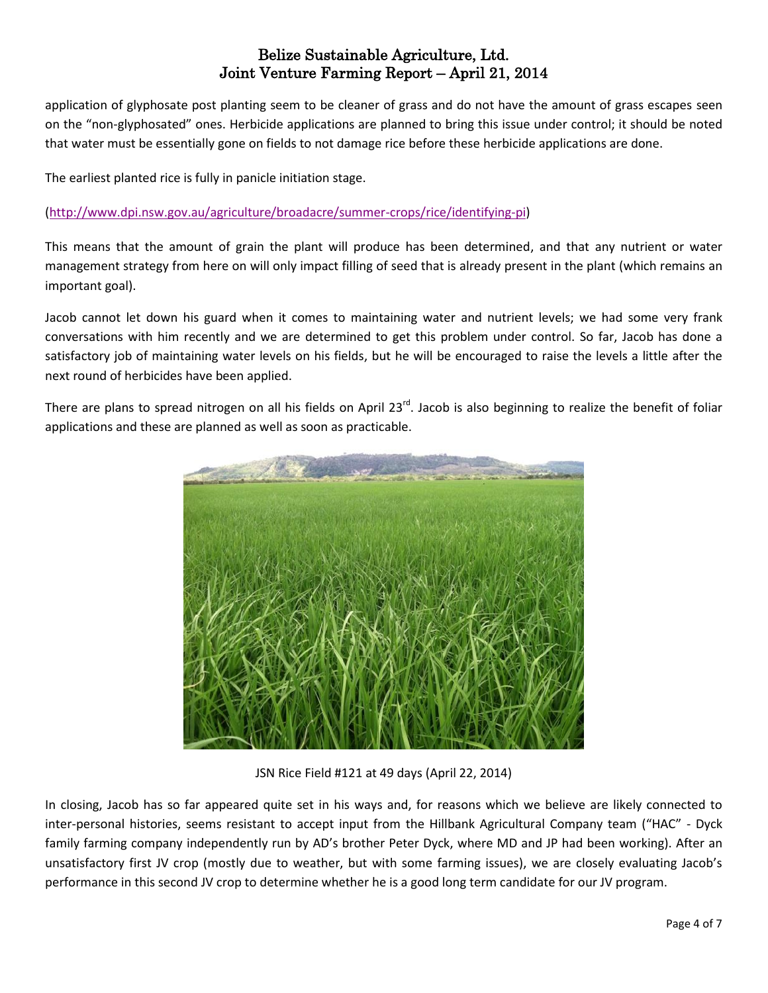application of glyphosate post planting seem to be cleaner of grass and do not have the amount of grass escapes seen on the "non-glyphosated" ones. Herbicide applications are planned to bring this issue under control; it should be noted that water must be essentially gone on fields to not damage rice before these herbicide applications are done.

The earliest planted rice is fully in panicle initiation stage.

#### [\(http://www.dpi.nsw.gov.au/agriculture/broadacre/summer-crops/rice/identifying-pi\)](http://www.dpi.nsw.gov.au/agriculture/broadacre/summer-crops/rice/identifying-pi)

This means that the amount of grain the plant will produce has been determined, and that any nutrient or water management strategy from here on will only impact filling of seed that is already present in the plant (which remains an important goal).

Jacob cannot let down his guard when it comes to maintaining water and nutrient levels; we had some very frank conversations with him recently and we are determined to get this problem under control. So far, Jacob has done a satisfactory job of maintaining water levels on his fields, but he will be encouraged to raise the levels a little after the next round of herbicides have been applied.

There are plans to spread nitrogen on all his fields on April 23<sup>rd</sup>. Jacob is also beginning to realize the benefit of foliar applications and these are planned as well as soon as practicable.



JSN Rice Field #121 at 49 days (April 22, 2014)

In closing, Jacob has so far appeared quite set in his ways and, for reasons which we believe are likely connected to inter-personal histories, seems resistant to accept input from the Hillbank Agricultural Company team ("HAC" - Dyck family farming company independently run by AD's brother Peter Dyck, where MD and JP had been working). After an unsatisfactory first JV crop (mostly due to weather, but with some farming issues), we are closely evaluating Jacob's performance in this second JV crop to determine whether he is a good long term candidate for our JV program.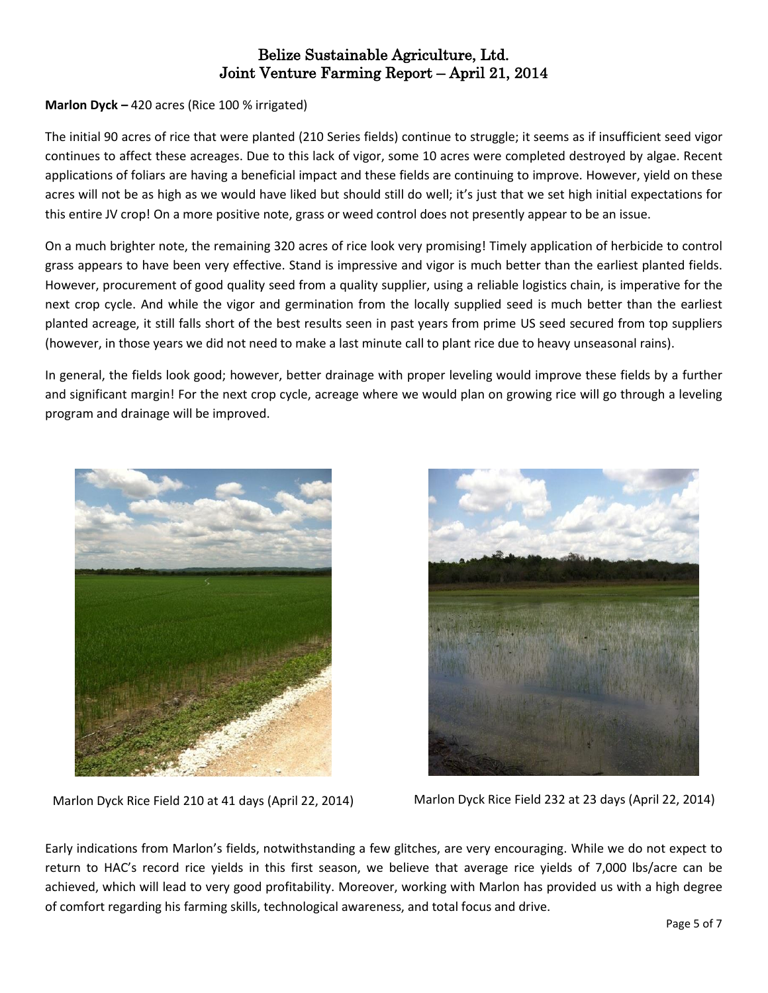## **Marlon Dyck –** 420 acres (Rice 100 % irrigated)

The initial 90 acres of rice that were planted (210 Series fields) continue to struggle; it seems as if insufficient seed vigor continues to affect these acreages. Due to this lack of vigor, some 10 acres were completed destroyed by algae. Recent applications of foliars are having a beneficial impact and these fields are continuing to improve. However, yield on these acres will not be as high as we would have liked but should still do well; it's just that we set high initial expectations for this entire JV crop! On a more positive note, grass or weed control does not presently appear to be an issue.

On a much brighter note, the remaining 320 acres of rice look very promising! Timely application of herbicide to control grass appears to have been very effective. Stand is impressive and vigor is much better than the earliest planted fields. However, procurement of good quality seed from a quality supplier, using a reliable logistics chain, is imperative for the next crop cycle. And while the vigor and germination from the locally supplied seed is much better than the earliest planted acreage, it still falls short of the best results seen in past years from prime US seed secured from top suppliers (however, in those years we did not need to make a last minute call to plant rice due to heavy unseasonal rains).

In general, the fields look good; however, better drainage with proper leveling would improve these fields by a further and significant margin! For the next crop cycle, acreage where we would plan on growing rice will go through a leveling program and drainage will be improved.





Marlon Dyck Rice Field 210 at 41 days (April 22, 2014) Marlon Dyck Rice Field 232 at 23 days (April 22, 2014)

Early indications from Marlon's fields, notwithstanding a few glitches, are very encouraging. While we do not expect to return to HAC's record rice yields in this first season, we believe that average rice yields of 7,000 lbs/acre can be achieved, which will lead to very good profitability. Moreover, working with Marlon has provided us with a high degree of comfort regarding his farming skills, technological awareness, and total focus and drive.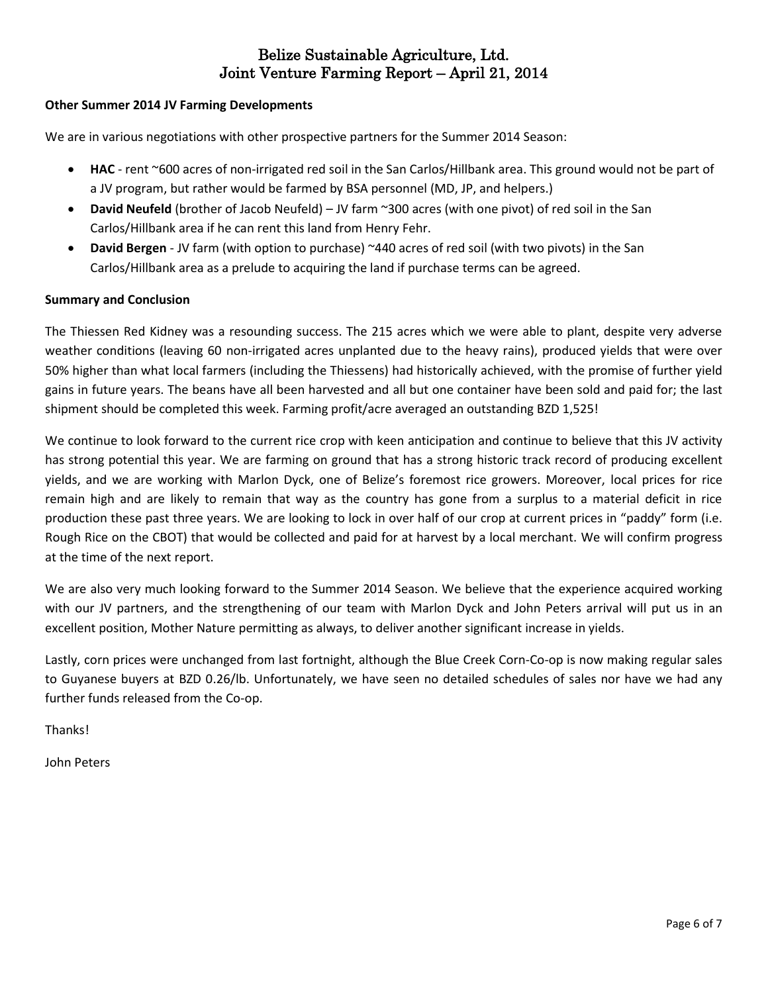#### **Other Summer 2014 JV Farming Developments**

We are in various negotiations with other prospective partners for the Summer 2014 Season:

- **HAC** rent ~600 acres of non-irrigated red soil in the San Carlos/Hillbank area. This ground would not be part of a JV program, but rather would be farmed by BSA personnel (MD, JP, and helpers.)
- **David Neufeld** (brother of Jacob Neufeld) JV farm ~300 acres (with one pivot) of red soil in the San Carlos/Hillbank area if he can rent this land from Henry Fehr.
- **David Bergen** JV farm (with option to purchase) ~440 acres of red soil (with two pivots) in the San Carlos/Hillbank area as a prelude to acquiring the land if purchase terms can be agreed.

#### **Summary and Conclusion**

The Thiessen Red Kidney was a resounding success. The 215 acres which we were able to plant, despite very adverse weather conditions (leaving 60 non-irrigated acres unplanted due to the heavy rains), produced yields that were over 50% higher than what local farmers (including the Thiessens) had historically achieved, with the promise of further yield gains in future years. The beans have all been harvested and all but one container have been sold and paid for; the last shipment should be completed this week. Farming profit/acre averaged an outstanding BZD 1,525!

We continue to look forward to the current rice crop with keen anticipation and continue to believe that this JV activity has strong potential this year. We are farming on ground that has a strong historic track record of producing excellent yields, and we are working with Marlon Dyck, one of Belize's foremost rice growers. Moreover, local prices for rice remain high and are likely to remain that way as the country has gone from a surplus to a material deficit in rice production these past three years. We are looking to lock in over half of our crop at current prices in "paddy" form (i.e. Rough Rice on the CBOT) that would be collected and paid for at harvest by a local merchant. We will confirm progress at the time of the next report.

We are also very much looking forward to the Summer 2014 Season. We believe that the experience acquired working with our JV partners, and the strengthening of our team with Marlon Dyck and John Peters arrival will put us in an excellent position, Mother Nature permitting as always, to deliver another significant increase in yields.

Lastly, corn prices were unchanged from last fortnight, although the Blue Creek Corn-Co-op is now making regular sales to Guyanese buyers at BZD 0.26/lb. Unfortunately, we have seen no detailed schedules of sales nor have we had any further funds released from the Co-op.

**Thanks!** 

John Peters